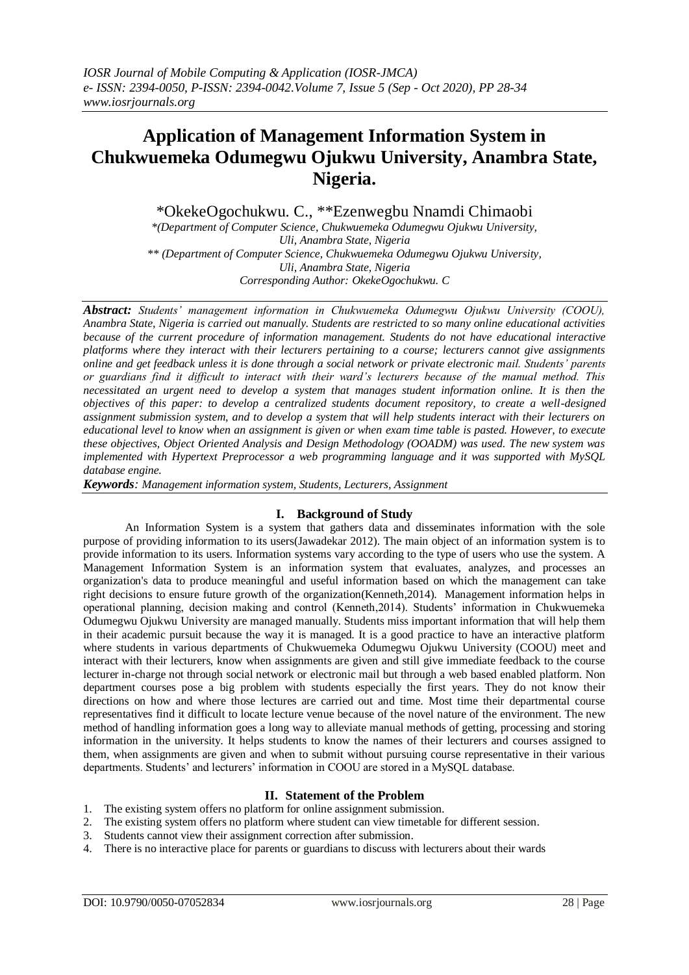# **Application of Management Information System in Chukwuemeka Odumegwu Ojukwu University, Anambra State, Nigeria.**

\*OkekeOgochukwu. C., \*\*Ezenwegbu Nnamdi Chimaobi

*\*(Department of Computer Science, Chukwuemeka Odumegwu Ojukwu University, Uli, Anambra State, Nigeria \*\* (Department of Computer Science, Chukwuemeka Odumegwu Ojukwu University, Uli, Anambra State, Nigeria Corresponding Author: OkekeOgochukwu. C*

*Abstract: Students' management information in Chukwuemeka Odumegwu Ojukwu University (COOU), Anambra State, Nigeria is carried out manually. Students are restricted to so many online educational activities because of the current procedure of information management. Students do not have educational interactive platforms where they interact with their lecturers pertaining to a course; lecturers cannot give assignments online and get feedback unless it is done through a social network or private electronic mail. Students' parents or guardians find it difficult to interact with their ward's lecturers because of the manual method. This necessitated an urgent need to develop a system that manages student information online. It is then the objectives of this paper: to develop a centralized students document repository, to create a well-designed assignment submission system, and to develop a system that will help students interact with their lecturers on educational level to know when an assignment is given or when exam time table is pasted. However, to execute these objectives, Object Oriented Analysis and Design Methodology (OOADM) was used. The new system was implemented with Hypertext Preprocessor a web programming language and it was supported with MySQL database engine.*

*Keywords: Management information system, Students, Lecturers, Assignment*

## **I. Background of Study**

An Information System is a system that gathers data and disseminates information with the sole purpose of providing information to its users(Jawadekar 2012). The main object of an information system is to provide information to its users. Information systems vary according to the type of users who use the system. A Management Information System is an information system that evaluates, analyzes, and processes an organization's data to produce meaningful and useful information based on which the management can take right decisions to ensure future growth of the organization(Kenneth,2014). Management information helps in operational planning, decision making and control (Kenneth,2014). Students' information in Chukwuemeka Odumegwu Ojukwu University are managed manually. Students miss important information that will help them in their academic pursuit because the way it is managed. It is a good practice to have an interactive platform where students in various departments of Chukwuemeka Odumegwu Ojukwu University (COOU) meet and interact with their lecturers, know when assignments are given and still give immediate feedback to the course lecturer in-charge not through social network or electronic mail but through a web based enabled platform. Non department courses pose a big problem with students especially the first years. They do not know their directions on how and where those lectures are carried out and time. Most time their departmental course representatives find it difficult to locate lecture venue because of the novel nature of the environment. The new method of handling information goes a long way to alleviate manual methods of getting, processing and storing information in the university. It helps students to know the names of their lecturers and courses assigned to them, when assignments are given and when to submit without pursuing course representative in their various departments. Students' and lecturers' information in COOU are stored in a MySQL database.

## **II. Statement of the Problem**

- 1. The existing system offers no platform for online assignment submission.
- 2. The existing system offers no platform where student can view timetable for different session.
- 3. Students cannot view their assignment correction after submission.
- 4. There is no interactive place for parents or guardians to discuss with lecturers about their wards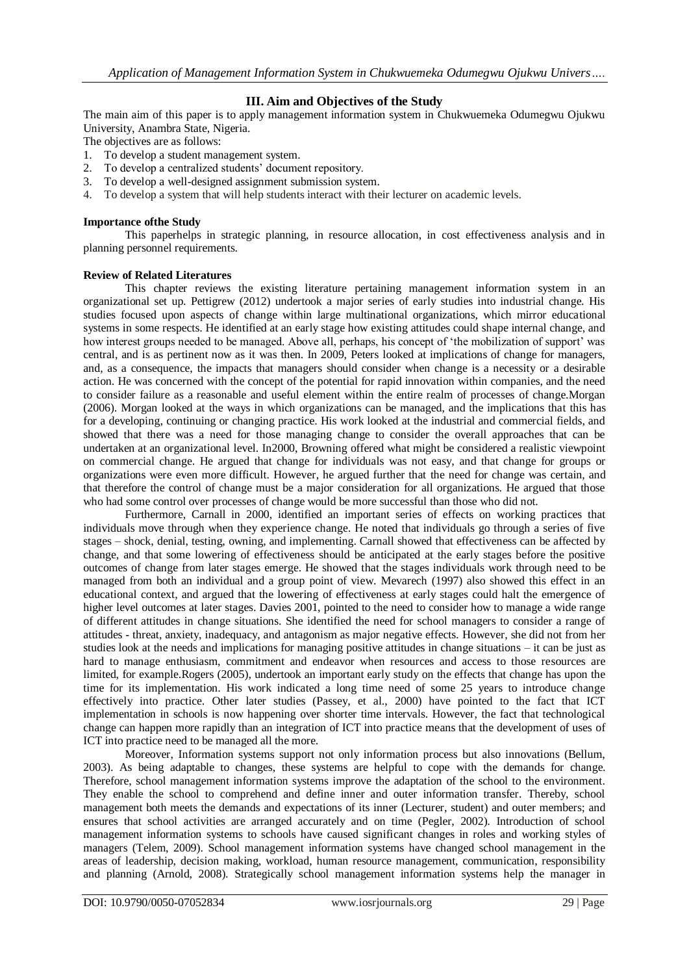## **III. Aim and Objectives of the Study**

The main aim of this paper is to apply management information system in Chukwuemeka Odumegwu Ojukwu University, Anambra State, Nigeria.

The objectives are as follows:

- 1. To develop a student management system.<br>2. To develop a centralized students' docume
- To develop a centralized students' document repository.
- 3. To develop a well-designed assignment submission system.
- 4. To develop a system that will help students interact with their lecturer on academic levels.

#### **Importance ofthe Study**

This paperhelps in strategic planning, in resource allocation, in cost effectiveness analysis and in planning personnel requirements.

### **Review of Related Literatures**

This chapter reviews the existing literature pertaining management information system in an organizational set up. Pettigrew (2012) undertook a major series of early studies into industrial change. His studies focused upon aspects of change within large multinational organizations, which mirror educational systems in some respects. He identified at an early stage how existing attitudes could shape internal change, and how interest groups needed to be managed. Above all, perhaps, his concept of 'the mobilization of support' was central, and is as pertinent now as it was then. In 2009, Peters looked at implications of change for managers, and, as a consequence, the impacts that managers should consider when change is a necessity or a desirable action. He was concerned with the concept of the potential for rapid innovation within companies, and the need to consider failure as a reasonable and useful element within the entire realm of processes of change.Morgan (2006). Morgan looked at the ways in which organizations can be managed, and the implications that this has for a developing, continuing or changing practice. His work looked at the industrial and commercial fields, and showed that there was a need for those managing change to consider the overall approaches that can be undertaken at an organizational level. In2000, Browning offered what might be considered a realistic viewpoint on commercial change. He argued that change for individuals was not easy, and that change for groups or organizations were even more difficult. However, he argued further that the need for change was certain, and that therefore the control of change must be a major consideration for all organizations. He argued that those who had some control over processes of change would be more successful than those who did not.

Furthermore, Carnall in 2000, identified an important series of effects on working practices that individuals move through when they experience change. He noted that individuals go through a series of five stages – shock, denial, testing, owning, and implementing. Carnall showed that effectiveness can be affected by change, and that some lowering of effectiveness should be anticipated at the early stages before the positive outcomes of change from later stages emerge. He showed that the stages individuals work through need to be managed from both an individual and a group point of view. Mevarech (1997) also showed this effect in an educational context, and argued that the lowering of effectiveness at early stages could halt the emergence of higher level outcomes at later stages. Davies 2001, pointed to the need to consider how to manage a wide range of different attitudes in change situations. She identified the need for school managers to consider a range of attitudes - threat, anxiety, inadequacy, and antagonism as major negative effects. However, she did not from her studies look at the needs and implications for managing positive attitudes in change situations – it can be just as hard to manage enthusiasm, commitment and endeavor when resources and access to those resources are limited, for example.Rogers (2005), undertook an important early study on the effects that change has upon the time for its implementation. His work indicated a long time need of some 25 years to introduce change effectively into practice. Other later studies (Passey, et al., 2000) have pointed to the fact that ICT implementation in schools is now happening over shorter time intervals. However, the fact that technological change can happen more rapidly than an integration of ICT into practice means that the development of uses of ICT into practice need to be managed all the more.

Moreover, Information systems support not only information process but also innovations (Bellum, 2003). As being adaptable to changes, these systems are helpful to cope with the demands for change. Therefore, school management information systems improve the adaptation of the school to the environment. They enable the school to comprehend and define inner and outer information transfer. Thereby, school management both meets the demands and expectations of its inner (Lecturer, student) and outer members; and ensures that school activities are arranged accurately and on time (Pegler, 2002). Introduction of school management information systems to schools have caused significant changes in roles and working styles of managers (Telem, 2009). School management information systems have changed school management in the areas of leadership, decision making, workload, human resource management, communication, responsibility and planning (Arnold, 2008). Strategically school management information systems help the manager in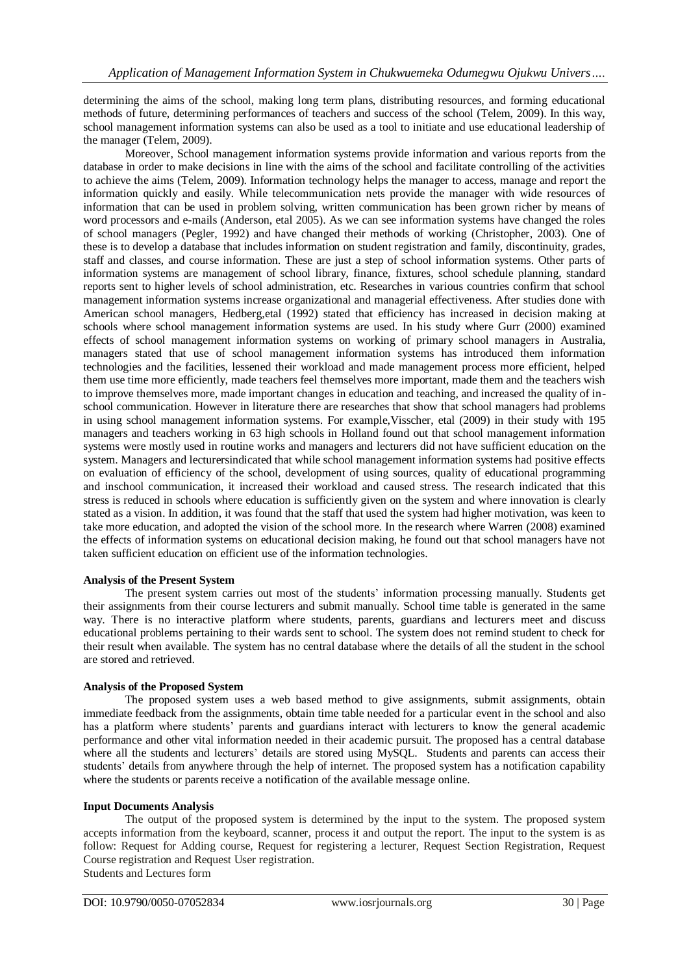determining the aims of the school, making long term plans, distributing resources, and forming educational methods of future, determining performances of teachers and success of the school (Telem, 2009). In this way, school management information systems can also be used as a tool to initiate and use educational leadership of the manager (Telem, 2009).

Moreover, School management information systems provide information and various reports from the database in order to make decisions in line with the aims of the school and facilitate controlling of the activities to achieve the aims (Telem, 2009). Information technology helps the manager to access, manage and report the information quickly and easily. While telecommunication nets provide the manager with wide resources of information that can be used in problem solving, written communication has been grown richer by means of word processors and e-mails (Anderson, etal 2005). As we can see information systems have changed the roles of school managers (Pegler, 1992) and have changed their methods of working (Christopher, 2003). One of these is to develop a database that includes information on student registration and family, discontinuity, grades, staff and classes, and course information. These are just a step of school information systems. Other parts of information systems are management of school library, finance, fixtures, school schedule planning, standard reports sent to higher levels of school administration, etc. Researches in various countries confirm that school management information systems increase organizational and managerial effectiveness. After studies done with American school managers, Hedberg,etal (1992) stated that efficiency has increased in decision making at schools where school management information systems are used. In his study where Gurr (2000) examined effects of school management information systems on working of primary school managers in Australia, managers stated that use of school management information systems has introduced them information technologies and the facilities, lessened their workload and made management process more efficient, helped them use time more efficiently, made teachers feel themselves more important, made them and the teachers wish to improve themselves more, made important changes in education and teaching, and increased the quality of inschool communication. However in literature there are researches that show that school managers had problems in using school management information systems. For example,Visscher, etal (2009) in their study with 195 managers and teachers working in 63 high schools in Holland found out that school management information systems were mostly used in routine works and managers and lecturers did not have sufficient education on the system. Managers and lecturersindicated that while school management information systems had positive effects on evaluation of efficiency of the school, development of using sources, quality of educational programming and inschool communication, it increased their workload and caused stress. The research indicated that this stress is reduced in schools where education is sufficiently given on the system and where innovation is clearly stated as a vision. In addition, it was found that the staff that used the system had higher motivation, was keen to take more education, and adopted the vision of the school more. In the research where Warren (2008) examined the effects of information systems on educational decision making, he found out that school managers have not taken sufficient education on efficient use of the information technologies.

#### **Analysis of the Present System**

The present system carries out most of the students' information processing manually. Students get their assignments from their course lecturers and submit manually. School time table is generated in the same way. There is no interactive platform where students, parents, guardians and lecturers meet and discuss educational problems pertaining to their wards sent to school. The system does not remind student to check for their result when available. The system has no central database where the details of all the student in the school are stored and retrieved.

#### **Analysis of the Proposed System**

The proposed system uses a web based method to give assignments, submit assignments, obtain immediate feedback from the assignments, obtain time table needed for a particular event in the school and also has a platform where students' parents and guardians interact with lecturers to know the general academic performance and other vital information needed in their academic pursuit. The proposed has a central database where all the students and lecturers' details are stored using MySQL. Students and parents can access their students' details from anywhere through the help of internet. The proposed system has a notification capability where the students or parents receive a notification of the available message online.

#### **Input Documents Analysis**

The output of the proposed system is determined by the input to the system. The proposed system accepts information from the keyboard, scanner, process it and output the report. The input to the system is as follow: Request for Adding course, Request for registering a lecturer, Request Section Registration, Request Course registration and Request User registration. Students and Lectures form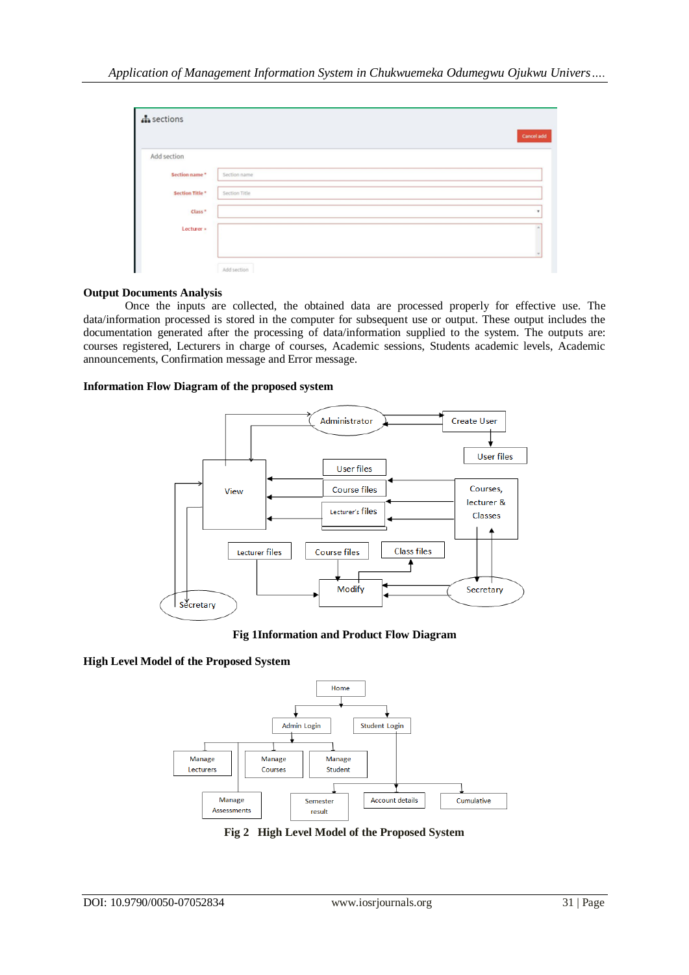| $\mathbf{A}$ sections |               | Cancel add |
|-----------------------|---------------|------------|
| Add section           |               |            |
| Section name*         | Section name  |            |
| Section Title*        | Section Title |            |
| Class <sup>*</sup>    |               |            |
| Lecturer »            |               |            |
|                       |               |            |
|                       | Add section   |            |

#### **Output Documents Analysis**

Once the inputs are collected, the obtained data are processed properly for effective use. The data/information processed is stored in the computer for subsequent use or output. These output includes the documentation generated after the processing of data/information supplied to the system. The outputs are: courses registered, Lecturers in charge of courses, Academic sessions, Students academic levels, Academic announcements, Confirmation message and Error message.

#### **Information Flow Diagram of the proposed system**



**Fig 1Information and Product Flow Diagram**

## **High Level Model of the Proposed System**



**Fig 2 High Level Model of the Proposed System**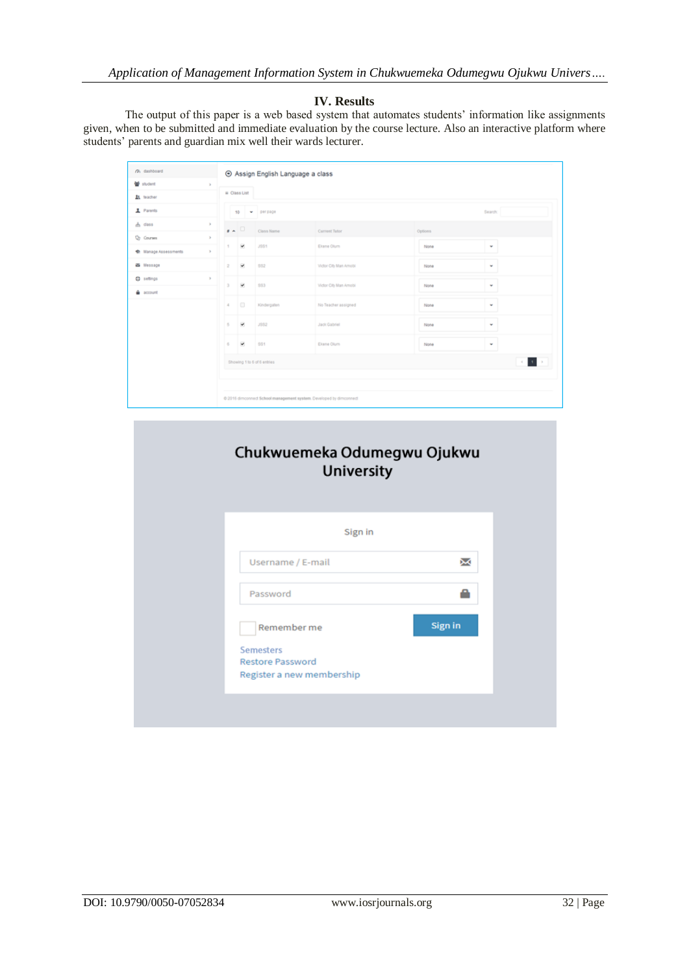## **IV. Results**

The output of this paper is a web based system that automates students' information like assignments given, when to be submitted and immediate evaluation by the course lecture. Also an interactive platform where students' parents and guardian mix well their wards lecturer.

| (% dashboard           |              |                                  | ⊙ Assign English Language a class |                                                                     |         |                         |  |
|------------------------|--------------|----------------------------------|-----------------------------------|---------------------------------------------------------------------|---------|-------------------------|--|
| 발 student              | $\geq$       |                                  |                                   |                                                                     |         |                         |  |
| 21. teacher            |              | = Class List                     |                                   |                                                                     |         |                         |  |
| 1 Parents              |              | 10 - perpage                     |                                   |                                                                     |         | Search:                 |  |
| $h$ dass               | ×            | $\mathbf{r}$ $\sim$              | Class Name                        | Current Tutor                                                       | Options |                         |  |
| O <sub>2</sub> Courses | $\mathbf{p}$ |                                  |                                   |                                                                     |         |                         |  |
| C Manage Assessments   | $\geq$       | ×<br>т.                          | <b>JSS1</b>                       | Elgine Olum                                                         | None    | ٧                       |  |
| a Message              |              | v<br>$\mathbf{2}$                | \$92                              | Victor City Man Amobi                                               | None    | ٧                       |  |
| $Q$ settings           | $\mathbb{R}$ | v<br>$\mathbf{3}$                | \$83                              | Victor City Man Amobi                                               | None    | ٠                       |  |
| account                |              |                                  |                                   |                                                                     |         |                         |  |
|                        |              | $\qquad \qquad \Box$<br>$\Delta$ | Kindergaten                       | No Teacher assigned                                                 | None    | ٠                       |  |
|                        |              | v<br>5                           | 3982                              | <b>Jack Gabriel</b>                                                 | None    | ٠                       |  |
|                        |              | v<br>6                           | \$91                              | Elgine Olum                                                         | None    | ٠                       |  |
|                        |              |                                  | Showing 1 to 6 of 6 entries       |                                                                     |         | $\sim$ 10 $\rightarrow$ |  |
|                        |              |                                  |                                   |                                                                     |         |                         |  |
|                        |              |                                  |                                   |                                                                     |         |                         |  |
|                        |              |                                  |                                   | @ 2016 dimconnect School management system. Developed by dimconnect |         |                         |  |

| Chukwuemeka Odumegwu Ojukwu<br><b>University</b>                         |         |
|--------------------------------------------------------------------------|---------|
| Sign in                                                                  |         |
| Username / E-mail                                                        | χ       |
| Password                                                                 |         |
| Remember me                                                              | Sign in |
| <b>Semesters</b><br><b>Restore Password</b><br>Register a new membership |         |
|                                                                          |         |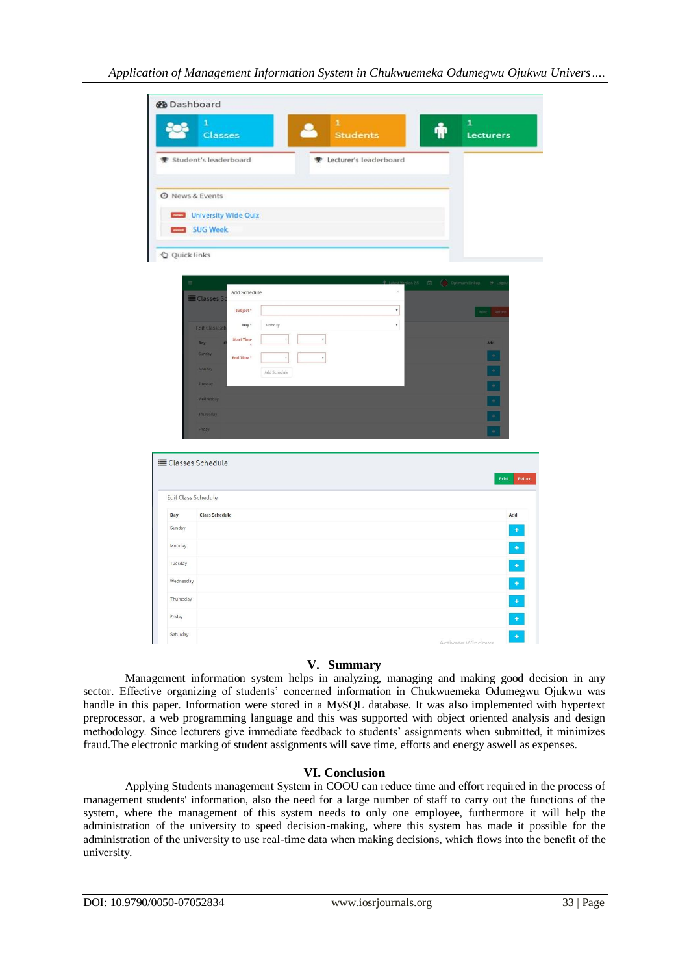| <b>@</b> Dashboard  |                                                                            |                                                             |
|---------------------|----------------------------------------------------------------------------|-------------------------------------------------------------|
|                     | $\mathbf{1}$<br>$\mathbf 1$<br><b>Students</b><br><b>Classes</b>           | $\mathbf{1}$<br>Lecturers                                   |
|                     | <b>▼</b> Student's leaderboard<br>P Lecturer's leaderboard                 |                                                             |
|                     |                                                                            |                                                             |
|                     | <b>O</b> News & Events<br>University Wide Quiz                             |                                                             |
|                     | SUG Week                                                                   |                                                             |
| Quick links         |                                                                            |                                                             |
|                     |                                                                            | $\Box$<br>Optimum Linkup<br>$\Theta$ Logs<br>$\frac{1}{25}$ |
|                     | Add Schedule<br>E Classes S                                                | $\propto$                                                   |
|                     | Subject <sup>*</sup>                                                       | $^\star$<br>Print: Retur                                    |
|                     | Day*<br>Monday<br><b>Edit Class Sch</b>                                    | $^\mathrm{v}$                                               |
|                     | $\pmb{\mathrm{v}}$<br>$^\ast$<br><b>Start Time</b><br>Day<br><b>Sunday</b> | Add                                                         |
|                     | $\overline{\phantom{a}}$<br>End Time <sup>*</sup><br>$^\ast$<br>Monday     | $\pm$<br>$\overline{\phantom{a}}$                           |
|                     | Add Schedule<br>Tuesday                                                    | Ξ                                                           |
|                     | Wednesday                                                                  | Ξ                                                           |
|                     | Thurusday                                                                  | Ξ                                                           |
|                     | Friday                                                                     |                                                             |
|                     |                                                                            |                                                             |
|                     | <b>E Classes Schedule</b>                                                  |                                                             |
|                     |                                                                            | Return<br>Print                                             |
| Edit Class Schedule |                                                                            |                                                             |
| Day                 | <b>Class Schedule</b>                                                      | Add                                                         |
| Sunday              |                                                                            | $\ddot{}$                                                   |
| Monday              |                                                                            | Ó                                                           |
| Tuesday             |                                                                            | $\ddot{\phantom{1}}$                                        |
| Wednesday           |                                                                            | $\begin{array}{c} \bullet \end{array}$                      |
| Thurusday           |                                                                            |                                                             |
| Friday              |                                                                            | $\begin{array}{c} + \\ + \end{array}$                       |
|                     |                                                                            |                                                             |

## **V. Summary**

Management information system helps in analyzing, managing and making good decision in any sector. Effective organizing of students' concerned information in Chukwuemeka Odumegwu Ojukwu was handle in this paper. Information were stored in a MySQL database. It was also implemented with hypertext preprocessor, a web programming language and this was supported with object oriented analysis and design methodology. Since lecturers give immediate feedback to students' assignments when submitted, it minimizes fraud.The electronic marking of student assignments will save time, efforts and energy aswell as expenses.

## **VI. Conclusion**

Applying Students management System in COOU can reduce time and effort required in the process of management students' information, also the need for a large number of staff to carry out the functions of the system, where the management of this system needs to only one employee, furthermore it will help the administration of the university to speed decision-making, where this system has made it possible for the administration of the university to use real-time data when making decisions, which flows into the benefit of the university.